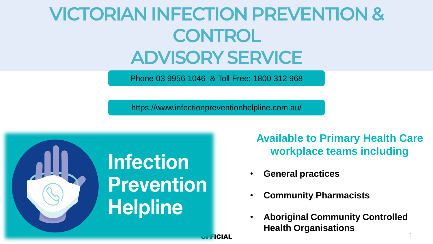## VICTORIAN INFECTION PREVENTION & **CONTROL** ADVISORY SERVICE

Phone 03 9956 1046 & Toll Free: 1800 312 968

https://www.infectionpreventionhelpline.com.au/



**Available to Primary Health Care workplace teams including**

- **General practices**
- **Community Pharmacists**
- **Aboriginal Community Controlled Health Organisations**

OFFICIAL